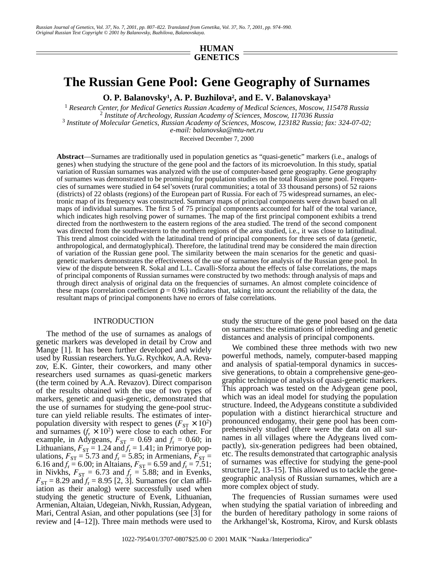# **HUMAN GENETICS**

# **The Russian Gene Pool: Gene Geography of Surnames**

**O. P. Balanovsky1 , A. P. Buzhilova2 , and E. V. Balanovskaya3**

<sup>1</sup> Research Center, for Medical Genetics Russian Academy of Medical Sciences, Moscow, 115478 Russia<br><sup>2</sup> *Institute of Archeology, Russian Academy of Sciences, Moscow, 117036 Russia*<br><sup>3</sup> *Institute of Molecular Genetics, R Institute of Molecular Genetics, Russian Academy of Sciences, Moscow, 123182 Russia; fax: 324-07-02; e-mail: balanovska@mtu-net.ru*

Received December 7, 2000

**Abstract**—Surnames are traditionally used in population genetics as "quasi-genetic" markers (i.e., analogs of genes) when studying the structure of the gene pool and the factors of its microevolution. In this study, spatial variation of Russian surnames was analyzed with the use of computer-based gene geography. Gene geography of surnames was demonstrated to be promising for population studies on the total Russian gene pool. Frequencies of surnames were studied in 64 sel'sovets (rural communities; a total of 33 thousand persons) of 52 raions (districts) of 22 oblasts (regions) of the European part of Russia. For each of 75 widespread surnames, an electronic map of its frequency was constructed. Summary maps of principal components were drawn based on all maps of individual surnames. The first 5 of 75 principal components accounted for half of the total variance, which indicates high resolving power of surnames. The map of the first principal component exhibits a trend directed from the northwestern to the eastern regions of the area studied. The trend of the second component was directed from the southwestern to the northern regions of the area studied, i.e., it was close to latitudinal. This trend almost coincided with the latitudinal trend of principal components for three sets of data (genetic, anthropological, and dermatoglyphical). Therefore, the latitudinal trend may be considered the main direction of variation of the Russian gene pool. The similarity between the main scenarios for the genetic and quasigenetic markers demonstrates the effectiveness of the use of surnames for analysis of the Russian gene pool. In view of the dispute between R. Sokal and L.L. Cavalli-Sforza about the effects of false correlations, the maps of principal components of Russian surnames were constructed by two methods: through analysis of maps and through direct analysis of original data on the frequencies of surnames. An almost complete coincidence of these maps (correlation coefficient  $p = 0.96$ ) indicates that, taking into account the reliability of the data, the resultant maps of principal components have no errors of false correlations.

## INTRODUCTION

The method of the use of surnames as analogs of genetic markers was developed in detail by Crow and Mange [1]. It has been further developed and widely used by Russian researchers. Yu.G. Rychkov, A.A. Revazov, E.K. Ginter, their coworkers, and many other researchers used surnames as quasi-genetic markers (the term coined by A.A. Revazov). Direct comparison of the results obtained with the use of two types of markers, genetic and quasi-genetic, demonstrated that the use of surnames for studying the gene-pool structure can yield reliable results. The estimates of interpopulation diversity with respect to genes ( $F_{ST} \times 10^2$ ) and surnames  $(f_r \times 10^2)$  were close to each other. For example, in Adygeans,  $F_{ST} = 0.69$  and  $f_r = 0.60$ ; in Lithuanians,  $F_{ST} = 1.24$  and  $f_r = 1.41$ ; in Primorye populations,  $F_{ST} = 5.73$  and  $f_r = 5.85$ ; in Armenians,  $F_{ST} =$ 6.16 and  $f_r = 6.00$ ; in Altaians,  $F_{ST} = 6.59$  and  $f_r = 7.51$ ; in Nivkhs,  $F_{ST} = 6.73$  and  $f_r = 5.88$ ; and in Evenks,  $F_{ST} = 8.29$  and  $f_r = 8.95$  [2, 3]. Surnames (or clan affiliation as their analog) were successfully used when studying the genetic structure of Evenk, Lithuanian, Armenian, Altaian, Udegeian, Nivkh, Russian, Adygean, Mari, Central Asian, and other populations (see [3] for review and [4–12]). Three main methods were used to study the structure of the gene pool based on the data on surnames: the estimations of inbreeding and genetic distances and analysis of principal components.

We combined these three methods with two new powerful methods, namely, computer-based mapping and analysis of spatial-temporal dynamics in successive generations, to obtain a comprehensive gene-geographic technique of analysis of quasi-genetic markers. This approach was tested on the Adygean gene pool, which was an ideal model for studying the population structure. Indeed, the Adygeans constitute a subdivided population with a distinct hierarchical structure and pronounced endogamy, their gene pool has been comprehensively studied (there were the data on all surnames in all villages where the Adygeans lived compactly), six-generation pedigrees had been obtained, etc. The results demonstrated that cartographic analysis of surnames was effective for studying the gene-pool structure [2, 13–15]. This allowed us to tackle the genegeographic analysis of Russian surnames, which are a more complex object of study.

The frequencies of Russian surnames were used when studying the spatial variation of inbreeding and the burden of hereditary pathology in some raions of the Arkhangel'sk, Kostroma, Kirov, and Kursk oblasts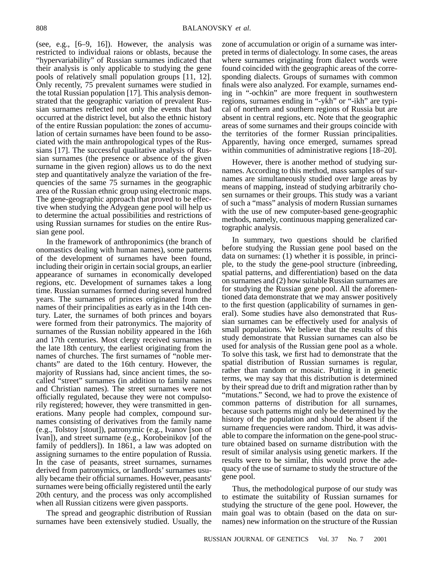(see, e.g., [6–9, 16]). However, the analysis was restricted to individual raions or oblasts, because the "hypervariability" of Russian surnames indicated that their analysis is only applicable to studying the gene pools of relatively small population groups [11, 12]. Only recently, 75 prevalent surnames were studied in the total Russian population [17]. This analysis demonstrated that the geographic variation of prevalent Russian surnames reflected not only the events that had occurred at the district level, but also the ethnic history of the entire Russian population: the zones of accumulation of certain surnames have been found to be associated with the main anthropological types of the Russians [17]. The successful qualitative analysis of Russian surnames (the presence or absence of the given surname in the given region) allows us to do the next step and quantitatively analyze the variation of the frequencies of the same 75 surnames in the geographic area of the Russian ethnic group using electronic maps. The gene-geographic approach that proved to be effective when studying the Adygean gene pool will help us to determine the actual possibilities and restrictions of using Russian surnames for studies on the entire Russian gene pool.

In the framework of anthroponimics (the branch of onomastics dealing with human names), some patterns of the development of surnames have been found, including their origin in certain social groups, an earlier appearance of surnames in economically developed regions, etc. Development of surnames takes a long time. Russian surnames formed during several hundred years. The surnames of princes originated from the names of their principalities as early as in the 14th century. Later, the surnames of both princes and boyars were formed from their patronymics. The majority of surnames of the Russian nobility appeared in the 16th and 17th centuries. Most clergy received surnames in the late 18th century, the earliest originating from the names of churches. The first surnames of "noble merchants" are dated to the 16th century. However, the majority of Russians had, since ancient times, the socalled "street" surnames (in addition to family names and Christian names). The street surnames were not officially regulated, because they were not compulsorily registered; however, they were transmitted in generations. Many people had complex, compound surnames consisting of derivatives from the family name (e.g., Tolstoy [stout]), patronymic (e.g., Ivanov [son of Ivan]), and street surname (e.g., Korobeinikov [of the family of peddlers]). In 1861, a law was adopted on assigning surnames to the entire population of Russia. In the case of peasants, street surnames, surnames derived from patronymics, or landlords' surnames usually became their official surnames. However, peasants' surnames were being officially registered until the early 20th century, and the process was only accomplished when all Russian citizens were given passports.

The spread and geographic distribution of Russian surnames have been extensively studied. Usually, the zone of accumulation or origin of a surname was interpreted in terms of dialectology. In some cases, the areas where surnames originating from dialect words were found coincided with the geographic areas of the corresponding dialects. Groups of surnames with common finals were also analyzed. For example, surnames ending in "-ochkin" are more frequent in southwestern regions, surnames ending in "-ykh" or "-ikh" are typical of northern and southern regions of Russia but are absent in central regions, etc. Note that the geographic areas of some surnames and their groups coincide with the territories of the former Russian principalities. Apparently, having once emerged, surnames spread within communities of administrative regions [18–20].

However, there is another method of studying surnames. According to this method, mass samples of surnames are simultaneously studied over large areas by means of mapping, instead of studying arbitrarily chosen surnames or their groups. This study was a variant of such a "mass" analysis of modern Russian surnames with the use of new computer-based gene-geographic methods, namely, continuous mapping generalized cartographic analysis.

In summary, two questions should be clarified before studying the Russian gene pool based on the data on surnames: (1) whether it is possible, in principle, to the study the gene-pool structure (inbreeding, spatial patterns, and differentiation) based on the data on surnames and (2) how suitable Russian surnames are for studying the Russian gene pool. All the aforementioned data demonstrate that we may answer positively to the first question (applicability of surnames in general). Some studies have also demonstrated that Russian surnames can be effectively used for analysis of small populations. We believe that the results of this study demonstrate that Russian surnames can also be used for analysis of the Russian gene pool as a whole. To solve this task, we first had to demonstrate that the spatial distribution of Russian surnames is regular, rather than random or mosaic. Putting it in genetic terms, we may say that this distribution is determined by their spread due to drift and migration rather than by "mutations." Second, we had to prove the existence of common patterns of distribution for all surnames, because such patterns might only be determined by the history of the population and should be absent if the surname frequencies were random. Third, it was advisable to compare the information on the gene-pool structure obtained based on surname distribution with the result of similar analysis using genetic markers. If the results were to be similar, this would prove the adequacy of the use of surname to study the structure of the gene pool.

Thus, the methodological purpose of our study was to estimate the suitability of Russian surnames for studying the structure of the gene pool. However, the main goal was to obtain (based on the data on surnames) new information on the structure of the Russian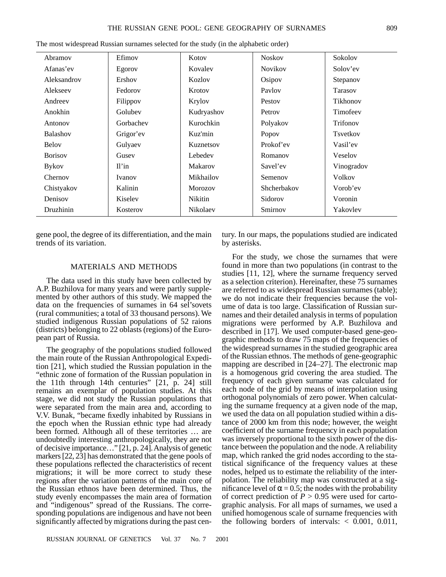| Abramov         | Efimov    | Kotov      | <b>Noskov</b>  | Sokolov         |
|-----------------|-----------|------------|----------------|-----------------|
| Afanas'ev       | Egorov    | Kovalev    | <b>Novikov</b> | Solov'ev        |
| Aleksandrov     | Ershov    | Kozlov     | Osipov         | Stepanov        |
| Alekseev        | Fedorov   | Krotov     | Paylov         | Tarasov         |
| Andreev         | Filippov  | Krylov     | Pestov         | Tikhonov        |
| Anokhin         | Golubev   | Kudryashov | Petrov         | Timofeev        |
| Antonov         | Gorbachev | Kurochkin  | Polyakov       | Trifonov        |
| <b>Balashov</b> | Grigor'ev | Kuz'min    | Popov          | <b>Tsvetkov</b> |
| <b>Belov</b>    | Gulyaev   | Kuznetsov  | Prokof'ev      | Vasil'ev        |
| <b>Borisov</b>  | Gusev     | Lebedev    | Romanov        | Veselov         |
| <b>Bykov</b>    | Il'in     | Makarov    | Savel'ev       | Vinogradov      |
| Chernov         | Ivanov    | Mikhailov  | Semenov        | Volkov          |
| Chistyakov      | Kalinin   | Morozov    | Shcherbakov    | Vorob'ev        |
| Denisov         | Kiselev   | Nikitin    | Sidorov        | Voronin         |
| Druzhinin       | Kosterov  | Nikolaev   | Smirnov        | Yakovlev        |

The most widespread Russian surnames selected for the study (in the alphabetic order)

gene pool, the degree of its differentiation, and the main trends of its variation.

# tury. In our maps, the populations studied are indicated by asterisks.

## MATERIALS AND METHODS

The data used in this study have been collected by A.P. Buzhilova for many years and were partly supplemented by other authors of this study. We mapped the data on the frequencies of surnames in 64 sel'sovets (rural communities; a total of 33 thousand persons). We studied indigenous Russian populations of 52 raions (districts) belonging to 22 oblasts (regions) of the European part of Russia.

The geography of the populations studied followed the main route of the Russian Anthropological Expedition [21], which studied the Russian population in the "ethnic zone of formation of the Russian population in the 11th through 14th centuries" [21, p. 24] still remains an exemplar of population studies. At this stage, we did not study the Russian populations that were separated from the main area and, according to V.V. Bunak, "became fixedly inhabited by Russians in the epoch when the Russian ethnic type had already been formed. Although all of these territories … are undoubtedly interesting anthropologically, they are not of decisive importance…" [21, p. 24]. Analysis of genetic markers [22, 23] has demonstrated that the gene pools of these populations reflected the characteristics of recent migrations; it will be more correct to study these regions after the variation patterns of the main core of the Russian ethnos have been determined. Thus, the study evenly encompasses the main area of formation and "indigenous" spread of the Russians. The corresponding populations are indigenous and have not been significantly affected by migrations during the past cen-

For the study, we chose the surnames that were found in more than two populations (in contrast to the studies [11, 12], where the surname frequency served as a selection criterion). Hereinafter, these 75 surnames are referred to as widespread Russian surnames (table); we do not indicate their frequencies because the volume of data is too large. Classification of Russian surnames and their detailed analysis in terms of population migrations were performed by A.P. Buzhilova and described in [17]. We used computer-based gene-geographic methods to draw 75 maps of the frequencies of the widespread surnames in the studied geographic area of the Russian ethnos. The methods of gene-geographic mapping are described in [24–27]. The electronic map is a homogenous grid covering the area studied. The frequency of each given surname was calculated for each node of the grid by means of interpolation using orthogonal polynomials of zero power. When calculating the surname frequency at a given node of the map, we used the data on all population studied within a distance of 2000 km from this node; however, the weight coefficient of the surname frequency in each population was inversely proportional to the sixth power of the distance between the population and the node. A reliability map, which ranked the grid nodes according to the statistical significance of the frequency values at these nodes, helped us to estimate the reliability of the interpolation. The reliability map was constructed at a significance level of  $\alpha = 0.5$ ; the nodes with the probability of correct prediction of  $P > 0.95$  were used for cartographic analysis. For all maps of surnames, we used a unified homogenous scale of surname frequencies with the following borders of intervals:  $< 0.001, 0.011,$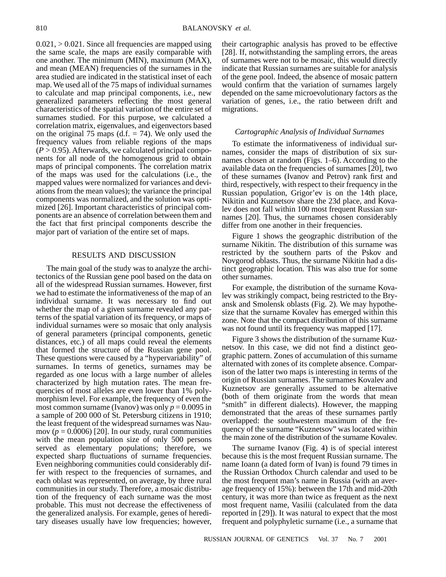$0.021$ ,  $> 0.021$ . Since all frequencies are mapped using the same scale, the maps are easily comparable with one another. The minimum (MIN), maximum (MAX), and mean (MEAN) frequencies of the surnames in the area studied are indicated in the statistical inset of each map. We used all of the 75 maps of individual surnames to calculate and map principal components, i.e., new generalized parameters reflecting the most general characteristics of the spatial variation of the entire set of surnames studied. For this purpose, we calculated a correlation matrix, eigenvalues, and eigenvectors based on the original 75 maps  $(d.f. = 74)$ . We only used the frequency values from reliable regions of the maps  $(P > 0.95)$ . Afterwards, we calculated principal components for all node of the homogenous grid to obtain maps of principal components. The correlation matrix of the maps was used for the calculations (i.e., the mapped values were normalized for variances and deviations from the mean values); the variance the principal components was normalized, and the solution was optimized [26]. Important characteristics of principal components are an absence of correlation between them and the fact that first principal components describe the major part of variation of the entire set of maps.

#### RESULTS AND DISCUSSION

The main goal of the study was to analyze the architectonics of the Russian gene pool based on the data on all of the widespread Russian surnames. However, first we had to estimate the informativeness of the map of an individual surname. It was necessary to find out whether the map of a given surname revealed any patterns of the spatial variation of its frequency, or maps of individual surnames were so mosaic that only analysis of general parameters (principal components, genetic distances, etc.) of all maps could reveal the elements that formed the structure of the Russian gene pool. These questions were caused by a "hypervariability" of surnames. In terms of genetics, surnames may be regarded as one locus with a large number of alleles characterized by high mutation rates. The mean frequencies of most alleles are even lower than 1% polymorphism level. For example, the frequency of even the most common surname (Ivanov) was only  $p = 0.0095$  in a sample of 200 000 of St. Petersburg citizens in 1910; the least frequent of the widespread surnames was Naumov ( $p = 0.0006$ ) [20]. In our study, rural communities with the mean population size of only 500 persons served as elementary populations; therefore, we expected sharp fluctuations of surname frequencies. Even neighboring communities could considerably differ with respect to the frequencies of surnames, and each oblast was represented, on average, by three rural communities in our study. Therefore, a mosaic distribution of the frequency of each surname was the most probable. This must not decrease the effectiveness of the generalized analysis. For example, genes of hereditary diseases usually have low frequencies; however,

their cartographic analysis has proved to be effective [28]. If, notwithstanding the sampling errors, the areas of surnames were not to be mosaic, this would directly indicate that Russian surnames are suitable for analysis of the gene pool. Indeed, the absence of mosaic pattern would confirm that the variation of surnames largely depended on the same microevolutionary factors as the variation of genes, i.e., the ratio between drift and migrations.

### *Cartographic Analysis of Individual Surnames*

To estimate the informativeness of individual surnames, consider the maps of distribution of six surnames chosen at random (Figs. 1–6). According to the available data on the frequencies of surnames [20], two of these surnames (Ivanov and Petrov) rank first and third, respectively, with respect to their frequency in the Russian population, Grigor'ev is on the 14th place, Nikitin and Kuznetsov share the 23d place, and Kovalev does not fall within 100 most frequent Russian surnames [20]. Thus, the surnames chosen considerably differ from one another in their frequencies.

Figure 1 shows the geographic distribution of the surname Nikitin. The distribution of this surname was restricted by the southern parts of the Pskov and Novgorod oblasts. Thus, the surname Nikitin had a distinct geographic location. This was also true for some other surnames.

For example, the distribution of the surname Kovalev was strikingly compact, being restricted to the Bryansk and Smolensk oblasts (Fig. 2). We may hypothesize that the surname Kovalev has emerged within this zone. Note that the compact distribution of this surname was not found until its frequency was mapped [17].

Figure 3 shows the distribution of the surname Kuznetsov. In this case, we did not find a distinct geographic pattern. Zones of accumulation of this surname alternated with zones of its complete absence. Comparison of the latter two maps is interesting in terms of the origin of Russian surnames. The surnames Kovalev and Kuznetsov are generally assumed to be alternative (both of them originate from the words that mean "smith" in different dialects). However, the mapping demonstrated that the areas of these surnames partly overlapped: the southwestern maximum of the frequency of the surname "Kuznetsov" was located within the main zone of the distribution of the surname Kovalev.

The surname Ivanov (Fig. 4) is of special interest because this is the most frequent Russian surname. The name Ioann (a dated form of Ivan) is found 79 times in the Russian Orthodox Church calendar and used to be the most frequent man's name in Russia (with an average frequency of 15%): between the 17th and mid-20th century, it was more than twice as frequent as the next most frequent name, Vasilii (calculated from the data reported in [29]). It was natural to expect that the most frequent and polyphyletic surname (i.e., a surname that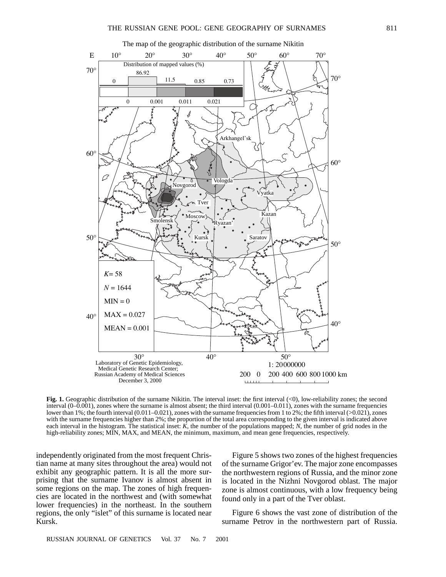

**Fig. 1.** Geographic distribution of the surname Nikitin. The interval inset: the first interval (<0), low-reliability zones; the second interval (0–0.001), zones where the surname is almost absent; the third interval (0.001–0.011), zones with the surname frequencies lower than 1%; the fourth interval (0.011–0.021), zones with the surname frequencies from 1 to 2%; the fifth interval (>0.021), zones with the surname frequencies higher than 2%; the proportion of the total area corresponding to the given interval is indicated above each interval in the histogram. The statistical inset: *K*, the number of the populations mapped; *N*, the number of grid nodes in the high-reliability zones; MIN, MAX, and MEAN, the minimum, maximum, and mean gene frequencies, respectively.

independently originated from the most frequent Christian name at many sites throughout the area) would not exhibit any geographic pattern. It is all the more surprising that the surname Ivanov is almost absent in some regions on the map. The zones of high frequencies are located in the northwest and (with somewhat lower frequencies) in the northeast. In the southern regions, the only "islet" of this surname is located near Kursk.

Figure 5 shows two zones of the highest frequencies of the surname Grigor'ev. The major zone encompasses the northwestern regions of Russia, and the minor zone is located in the Nizhni Novgorod oblast. The major zone is almost continuous, with a low frequency being found only in a part of the Tver oblast.

Figure 6 shows the vast zone of distribution of the surname Petrov in the northwestern part of Russia.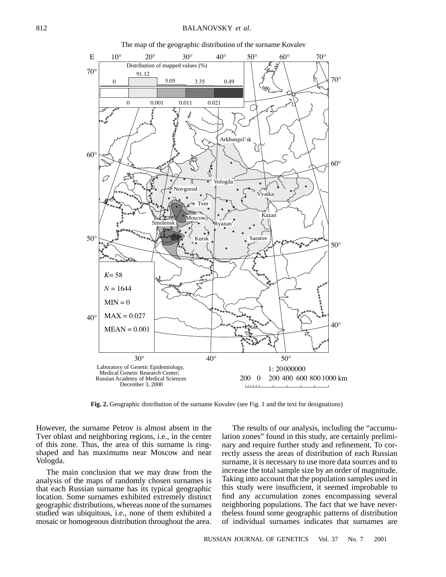

The map of the geographic distribution of the surname Kovalev

**Fig. 2.** Geographic distribution of the surname Kovalev (see Fig. 1 and the text for designations)

However, the surname Petrov is almost absent in the Tver oblast and neighboring regions, i.e., in the center of this zone. Thus, the area of this surname is ringshaped and has maximums near Moscow and near Vologda.

The main conclusion that we may draw from the analysis of the maps of randomly chosen surnames is that each Russian surname has its typical geographic location. Some surnames exhibited extremely distinct geographic distributions, whereas none of the surnames studied was ubiquitous, i.e., none of them exhibited a mosaic or homogenous distribution throughout the area.

The results of our analysis, including the "accumulation zones" found in this study, are certainly preliminary and require further study and refinement. To correctly assess the areas of distribution of each Russian surname, it is necessary to use more data sources and to increase the total sample size by an order of magnitude. Taking into account that the population samples used in this study were insufficient, it seemed improbable to find any accumulation zones encompassing several neighboring populations. The fact that we have nevertheless found some geographic patterns of distribution of individual surnames indicates that surnames are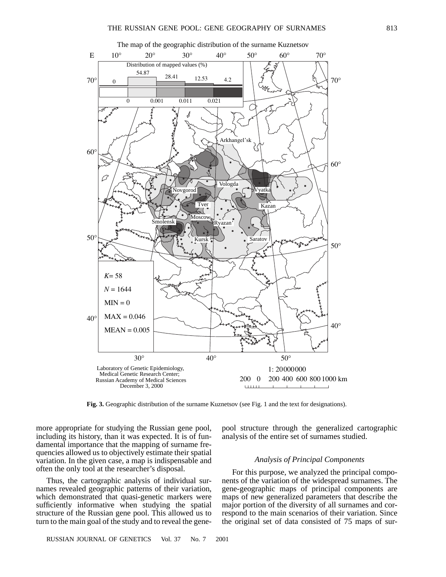

**Fig. 3.** Geographic distribution of the surname Kuznetsov (see Fig. 1 and the text for designations).

more appropriate for studying the Russian gene pool, including its history, than it was expected. It is of fundamental importance that the mapping of surname frequencies allowed us to objectively estimate their spatial variation. In the given case, a map is indispensable and often the only tool at the researcher's disposal.

Thus, the cartographic analysis of individual surnames revealed geographic patterns of their variation, which demonstrated that quasi-genetic markers were sufficiently informative when studying the spatial structure of the Russian gene pool. This allowed us to turn to the main goal of the study and to reveal the genepool structure through the generalized cartographic analysis of the entire set of surnames studied.

## *Analysis of Principal Components*

For this purpose, we analyzed the principal components of the variation of the widespread surnames. The gene-geographic maps of principal components are maps of new generalized parameters that describe the major portion of the diversity of all surnames and correspond to the main scenarios of their variation. Since the original set of data consisted of 75 maps of sur-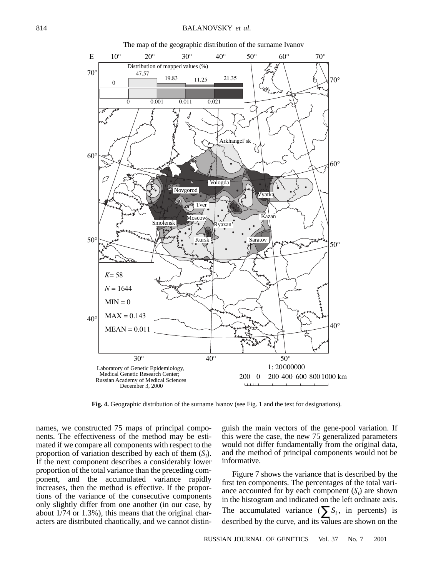

The map of the geographic distribution of the surname Ivanov

**Fig. 4.** Geographic distribution of the surname Ivanov (see Fig. 1 and the text for designations).

names, we constructed 75 maps of principal components. The effectiveness of the method may be estimated if we compare all components with respect to the proportion of variation described by each of them  $(S_i)$ . If the next component describes a considerably lower proportion of the total variance than the preceding component, and the accumulated variance rapidly increases, then the method is effective. If the proportions of the variance of the consecutive components only slightly differ from one another (in our case, by about 1/74 or 1.3%), this means that the original characters are distributed chaotically, and we cannot distinguish the main vectors of the gene-pool variation. If this were the case, the new 75 generalized parameters would not differ fundamentally from the original data, and the method of principal components would not be informative.

Figure 7 shows the variance that is described by the first ten components. The percentages of the total variance accounted for by each component  $(S_i)$  are shown in the histogram and indicated on the left ordinate axis. The accumulated variance  $(\sum S_i)$ , in percents) is described by the curve, and its values are shown on the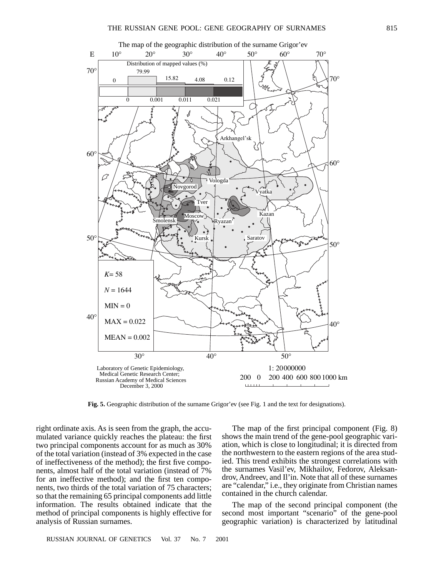

**Fig. 5.** Geographic distribution of the surname Grigor'ev (see Fig. 1 and the text for designations).

right ordinate axis. As is seen from the graph, the accumulated variance quickly reaches the plateau: the first two principal components account for as much as 30% of the total variation (instead of 3% expected in the case of ineffectiveness of the method); the first five components, almost half of the total variation (instead of 7% for an ineffective method); and the first ten components, two thirds of the total variation of 75 characters; so that the remaining 65 principal components add little information. The results obtained indicate that the method of principal components is highly effective for analysis of Russian surnames.

The map of the first principal component (Fig. 8) shows the main trend of the gene-pool geographic variation, which is close to longitudinal; it is directed from the northwestern to the eastern regions of the area studied. This trend exhibits the strongest correlations with the surnames Vasil'ev, Mikhailov, Fedorov, Aleksandrov, Andreev, and Il'in. Note that all of these surnames are "calendar," i.e., they originate from Christian names contained in the church calendar.

The map of the second principal component (the second most important "scenario" of the gene-pool geographic variation) is characterized by latitudinal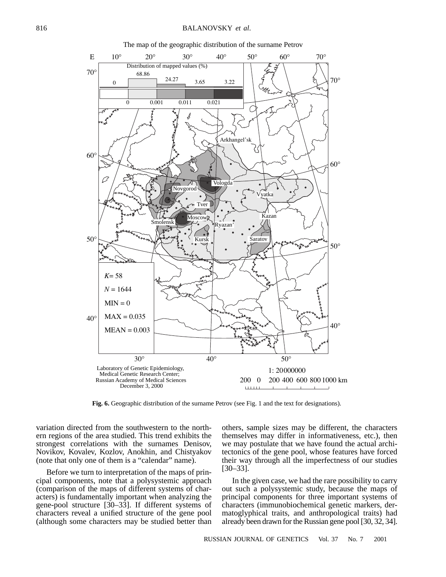

The map of the geographic distribution of the surname Petrov

**Fig. 6.** Geographic distribution of the surname Petrov (see Fig. 1 and the text for designations).

variation directed from the southwestern to the northern regions of the area studied. This trend exhibits the strongest correlations with the surnames Denisov, Novikov, Kovalev, Kozlov, Anokhin, and Chistyakov (note that only one of them is a "calendar" name).

Before we turn to interpretation of the maps of principal components, note that a polysystemic approach (comparison of the maps of different systems of characters) is fundamentally important when analyzing the gene-pool structure [30–33]. If different systems of characters reveal a unified structure of the gene pool (although some characters may be studied better than others, sample sizes may be different, the characters themselves may differ in informativeness, etc.), then we may postulate that we have found the actual architectonics of the gene pool, whose features have forced their way through all the imperfectness of our studies [30–33].

In the given case, we had the rare possibility to carry out such a polysystemic study, because the maps of principal components for three important systems of characters (immunobiochemical genetic markers, dermatoglyphical traits, and anthropological traits) had already been drawn for the Russian gene pool [30, 32, 34].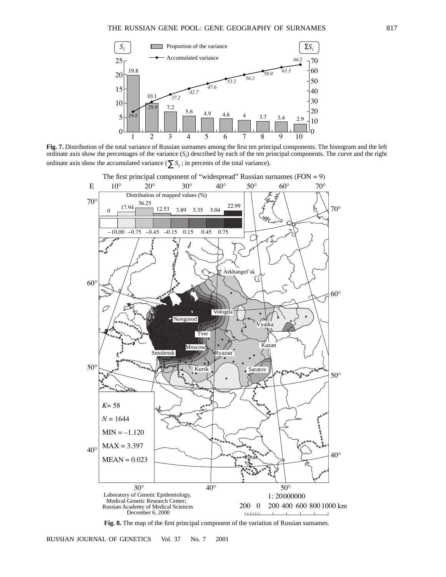

**Fig. 7.** Distribution of the total variance of Russian surnames among the first ten principal components. The histogram and the left ordinate axis show the percentages of the variance  $(S_i)$  described by each of the ten principal components. The curve and the right ordinate axis show the accumulated variance ( $\sum S_i$ ; in percents of the total variance).



**Fig. 8.** The map of the first principal component of the variation of Russian surnames.

RUSSIAN JOURNAL OF GENETICS Vol. 37 No. 7 2001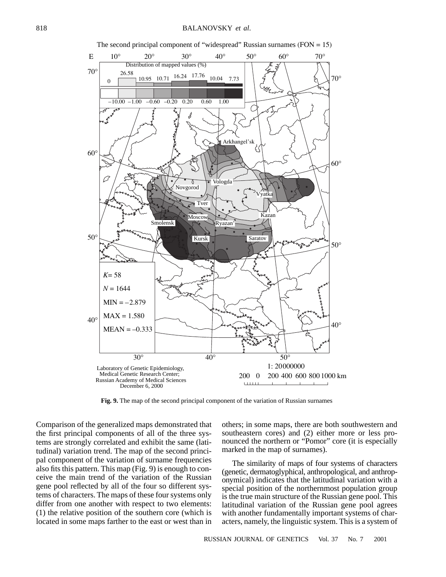

The second principal component of "widespread" Russian surnames  $(FON = 15)$ 

**Fig. 9.** The map of the second principal component of the variation of Russian surnames

Comparison of the generalized maps demonstrated that the first principal components of all of the three systems are strongly correlated and exhibit the same (latitudinal) variation trend. The map of the second principal component of the variation of surname frequencies also fits this pattern. This map (Fig. 9) is enough to conceive the main trend of the variation of the Russian gene pool reflected by all of the four so different systems of characters. The maps of these four systems only differ from one another with respect to two elements: (1) the relative position of the southern core (which is located in some maps farther to the east or west than in others; in some maps, there are both southwestern and southeastern cores) and (2) either more or less pronounced the northern or "Pomor" core (it is especially marked in the map of surnames).

The similarity of maps of four systems of characters (genetic, dermatoglyphical, anthropological, and anthroponymical) indicates that the latitudinal variation with a special position of the northernmost population group is the true main structure of the Russian gene pool. This latitudinal variation of the Russian gene pool agrees with another fundamentally important systems of characters, namely, the linguistic system. This is a system of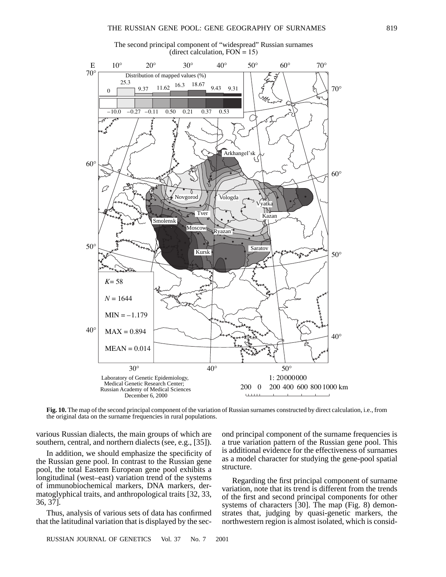



**Fig. 10.** The map of the second principal component of the variation of Russian surnames constructed by direct calculation, i.e., from the original data on the surname frequencies in rural populations.

various Russian dialects, the main groups of which are southern, central, and northern dialects (see, e.g., [35]).

In addition, we should emphasize the specificity of the Russian gene pool. In contrast to the Russian gene pool, the total Eastern European gene pool exhibits a longitudinal (west–east) variation trend of the systems of immunobiochemical markers, DNA markers, dermatoglyphical traits, and anthropological traits [32, 33, 36, 37].

Thus, analysis of various sets of data has confirmed that the latitudinal variation that is displayed by the seca true variation pattern of the Russian gene pool. This is additional evidence for the effectiveness of surnames as a model character for studying the gene-pool spatial structure.

ond principal component of the surname frequencies is

Regarding the first principal component of surname variation, note that its trend is different from the trends of the first and second principal components for other systems of characters [30]. The map (Fig. 8) demonstrates that, judging by quasi-genetic markers, the northwestern region is almost isolated, which is consid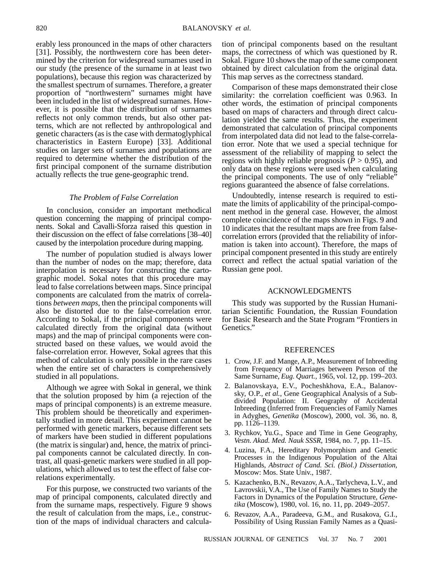erably less pronounced in the maps of other characters [31]. Possibly, the northwestern core has been determined by the criterion for widespread surnames used in our study (the presence of the surname in at least two populations), because this region was characterized by the smallest spectrum of surnames. Therefore, a greater proportion of "northwestern" surnames might have been included in the list of widespread surnames. However, it is possible that the distribution of surnames reflects not only common trends, but also other patterns, which are not reflected by anthropological and genetic characters (as is the case with dermatoglyphical characteristics in Eastern Europe) [33]. Additional studies on larger sets of surnames and populations are required to determine whether the distribution of the first principal component of the surname distribution actually reflects the true gene-geographic trend.

#### *The Problem of False Correlation*

In conclusion, consider an important methodical question concerning the mapping of principal components. Sokal and Cavalli-Sforza raised this question in their discussion on the effect of false correlations [38–40] caused by the interpolation procedure during mapping.

The number of population studied is always lower than the number of nodes on the map; therefore, data interpolation is necessary for constructing the cartographic model. Sokal notes that this procedure may lead to false correlations between maps. Since principal components are calculated from the matrix of correlations *between maps*, then the principal components will also be distorted due to the false-correlation error. According to Sokal, if the principal components were calculated directly from the original data (without maps) and the map of principal components were constructed based on these values, we would avoid the false-correlation error. However, Sokal agrees that this method of calculation is only possible in the rare cases when the entire set of characters is comprehensively studied in all populations.

Although we agree with Sokal in general, we think that the solution proposed by him (a rejection of the maps of principal components) is an extreme measure. This problem should be theoretically and experimentally studied in more detail. This experiment cannot be performed with genetic markers, because different sets of markers have been studied in different populations (the matrix is singular) and, hence, the matrix of principal components cannot be calculated directly. In contrast, all quasi-genetic markers were studied in all populations, which allowed us to test the effect of false correlations experimentally.

For this purpose, we constructed two variants of the map of principal components, calculated directly and from the surname maps, respectively. Figure 9 shows the result of calculation from the maps, i.e., construction of the maps of individual characters and calculation of principal components based on the resultant maps, the correctness of which was questioned by R. Sokal. Figure 10 shows the map of the same component obtained by direct calculation from the original data. This map serves as the correctness standard.

Comparison of these maps demonstrated their close similarity: the correlation coefficient was 0.963. In other words, the estimation of principal components based on maps of characters and through direct calculation yielded the same results. Thus, the experiment demonstrated that calculation of principal components from interpolated data did not lead to the false-correlation error. Note that we used a special technique for assessment of the reliability of mapping to select the regions with highly reliable prognosis  $(P > 0.95)$ , and only data on these regions were used when calculating the principal components. The use of only "reliable" regions guaranteed the absence of false correlations.

Undoubtedly, intense research is required to estimate the limits of applicability of the principal-component method in the general case. However, the almost complete coincidence of the maps shown in Figs. 9 and 10 indicates that the resultant maps are free from falsecorrelation errors (provided that the reliability of information is taken into account). Therefore, the maps of principal component presented in this study are entirely correct and reflect the actual spatial variation of the Russian gene pool.

## ACKNOWLEDGMENTS

This study was supported by the Russian Humanitarian Scientific Foundation, the Russian Foundation for Basic Research and the State Program "Frontiers in Genetics."

#### REFERENCES

- 1. Crow, J.F. and Mange, A.P., Measurement of Inbreeding from Frequency of Marriages between Person of the Same Surname, *Eug. Quart.,* 1965, vol. 12, pp. 199–203.
- 2. Balanovskaya, E.V., Pocheshkhova, E.A., Balanovsky, O.P., *et al.*, Gene Geographical Analysis of a Subdivided Population: II. Geography of Accidental Inbreeding (Inferred from Frequencies of Family Names in Adyghes, *Genetika* (Moscow), 2000, vol. 36, no. 8, pp. 1126–1139.
- 3. Rychkov, Yu.G., Space and Time in Gene Geography, *Vestn. Akad. Med. Nauk SSSR*, 1984, no. 7, pp. 11–15.
- 4. Luzina, F.A., Hereditary Polymorphism and Genetic Processes in the Indigenous Population of the Altai Highlands, *Abstract of Cand. Sci. (Biol.) Dissertation*, Moscow: Mos. State Univ., 1987.
- 5. Kazachenko, B.N., Revazov, A.A., Tarlycheva, L.V., and Lavrovskii, V.A., The Use of Family Names to Study the Factors in Dynamics of the Population Structure, *Genetika* (Moscow), 1980, vol. 16, no. 11, pp. 2049–2057.
- 6. Revazov, A.A., Paradeeva, G.M., and Rusakova, G.I., Possibility of Using Russian Family Names as a Quasi-

RUSSIAN JOURNAL OF GENETICS Vol. 37 No. 7 2001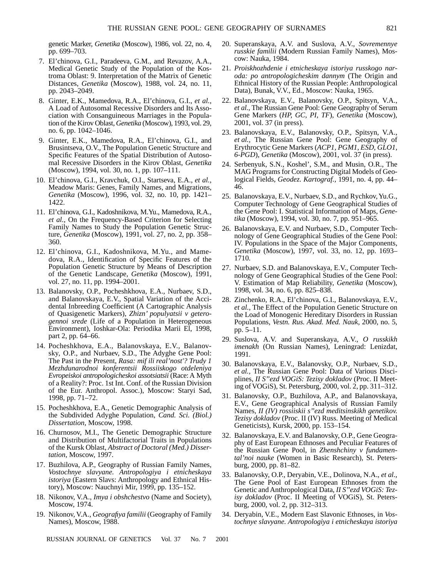genetic Marker, *Genetika* (Moscow), 1986, vol. 22, no. 4, pp. 699–703.

- 7. El'chinova, G.I., Paradeeva, G.M., and Revazov, A.A., Medical Genetic Study of the Population of the Kostroma Oblast: 9. Interpretation of the Matrix of Genetic Distances, *Genetika* (Moscow), 1988, vol. 24, no. 11, pp. 2043–2049.
- 8. Ginter, E.K., Mamedova, R.A., El'chinova, G.I., *et al.*, A Load of Autosomal Recessive Disorders and Its Association with Consanguineous Marriages in the Population of the Kirov Oblast, *Genetika* (Moscow), 1993, vol. 29, no. 6, pp. 1042–1046.
- 9. Ginter, E.K., Mamedova, R.A., El'chinova, G.I., and Brusintseva, O.V., The Population Genetic Structure and Specific Features of the Spatial Distribution of Autosomal Recessive Disorders in the Kirov Oblast, *Genetika* (Moscow), 1994, vol. 30, no. 1, pp. 107–111.
- 10. El'chinova, G.I., Kravchuk, O.I., Startseva, E.A., *et al.*, Meadow Maris: Genes, Family Names, and Migrations, *Genetika* (Moscow), 1996, vol. 32, no. 10, pp. 1421– 1422.
- 11. El'chinova, G.I., Kadoshnikova, M.Yu., Mamedova, R.A., *et al.*, On the Frequency-Based Criterion for Selecting Family Names to Study the Population Genetic Structure, *Genetika* (Moscow), 1991, vol. 27, no. 2, pp. 358– 360.
- 12. El'chinova, G.I., Kadoshnikova, M.Yu., and Mamedova, R.A., Identification of Specific Features of the Population Genetic Structure by Means of Description of the Genetic Landscape, *Genetika* (Moscow), 1991, vol. 27, no. 11, pp. 1994–2001.
- 13. Balanovsky, O.P., Pocheshkhova, E.A., Nurbaev, S.D., and Balanovskaya, E.V., Spatial Variation of the Accidental Inbreeding Coefficient (A Cartographic Analysis of Quasigenetic Markers), *Zhizn' populyatsii v geterogennoi srede* (Life of a Population in Heterogeneous Environment), Ioshkar-Ola: Periodika Marii El, 1998, part 2, pp. 64–66.
- 14. Pocheshkhova, E.A., Balanovskaya, E.V., Balanovsky, O.P., and Nurbaev, S.D., The Adyghe Gene Pool: The Past in the Present, *Rasa: mif ili real'nost'? Trudy 1 Mezhdunarodnoi konferentsii Rossiiskogo otdeleniya Evropeiskoi antropologicheskoi assotsiatsii* (Race: A Myth of a Reality?: Proc. 1st Int. Conf. of the Russian Division of the Eur. Anthropol. Assoc.), Moscow: Staryi Sad, 1998, pp. 71–72.
- 15. Pocheshkhova, E.A., Genetic Demographic Analysis of the Subdivided Adyghe Population, *Cand. Sci. (Biol.) Dissertation*, Moscow, 1998.
- 16. Churnosov, M.I., The Genetic Demographic Structure and Distribution of Multifactorial Traits in Populations of the Kursk Oblast, *Abstract of Doctoral (Med.) Dissertation*, Moscow, 1997.
- 17. Buzhilova, A.P., Geography of Russian Family Names, *Vostochnye slavyane. Antropologiya i etnicheskaya istoriya* (Eastern Slavs: Anthropology and Ethnical History), Moscow: Nauchnyi Mir, 1999, pp. 135–152.
- 18. Nikonov, V.A., *Imya i obshchestvo* (Name and Society), Moscow, 1974.
- 19. Nikonov, V.A., *Geografiya familii* (Geography of Family Names), Moscow, 1988.
	-
- 20. Superanskaya, A.V. and Suslova, A.V., *Sovremennye russkie familii* (Modern Russian Family Names), Moscow: Nauka, 1984.
- 21. *Proiskhozhdenie i etnicheskaya istoriya russkogo naroda: po antropologicheskim dannym* (The Origin and Ethnical History of the Russian People: Anthropological Data), Bunak, V.V., Ed., Moscow: Nauka, 1965.
- 22. Balanovskaya, E.V., Balanovsky, O.P., Spitsyn, V.A., *et al.,* The Russian Gene Pool: Gene Geography of Serum Gene Markers (*HP, GC, PI, TF*), *Genetika* (Moscow), 2001, vol. 37 (in press).
- 23. Balanovskaya, E.V., Balanovsky, O.P., Spitsyn, V.A., *et al.,* The Russian Gene Pool: Gene Geography of Erythrocytic Gene Markers (*ACP1, PGM1, ESD, GLO1, 6-PGD*), *Genetika* (Moscow), 2001, vol. 37 (in press).
- 24. Serbenyuk, S.N., Koshel', S.M., and Musin, O.R., The MAG Programs for Constructing Digital Models of Geological Fields, *Geodez. Kartograf.*, 1991, no. 4, pp. 44– 46.
- 25. Balanovskaya, E.V., Nurbaev, S.D., and Rychkov, Yu.G., Computer Technology of Gene Geographical Studies of the Gene Pool: I. Statistical Information of Maps, *Genetika* (Moscow), 1994, vol. 30, no. 7, pp. 951–965.
- 26. Balanovskaya, E.V. and Nurbaev, S.D., Computer Technology of Gene Geographical Studies of the Gene Pool: IV. Populations in the Space of the Major Components, *Genetika* (Moscow), 1997, vol. 33, no. 12, pp. 1693– 1710.
- 27. Nurbaev, S.D. and Balanovskaya, E.V., Computer Technology of Gene Geographical Studies of the Gene Pool: V. Estimation of Map Reliability, *Genetika* (Moscow), 1998, vol. 34, no. 6, pp. 825–838.
- 28. Zinchenko, R.A., El'chinova, G.I., Balanovskaya, E.V., *et al.*, The Effect of the Population Genetic Structure on the Load of Monogenic Hereditary Disorders in Russian Populations, *Vestn. Rus. Akad. Med. Nauk*, 2000, no. 5, pp. 5–11.
- 29. Suslova, A.V. and Superanskaya, A.V., *O russkikh imenakh* (On Russian Names), Leningrad: Lenizdat, 1991.
- 30. Balanovskaya, E.V., Balanovsky, O.P., Nurbaev, S.D., *et al.,* The Russian Gene Pool: Data of Various Disciplines, *II S''ezd VOGiS: Tezisy dokladov* (Proc. II Meeting of VOGiS), St. Petersburg, 2000, vol. 2, pp. 311–312.
- 31. Balanovsky, O.P., Buzhilova, A.P., and Balanovskaya, E.V., Gene Geographical Analysis of Russian Family Names, *II (IV) rossiiskii s''ezd meditsinskikh genetikov. Tezisy dokladov* (Proc. II (IV) Russ. Meeting of Medical Geneticists), Kursk, 2000, pp. 153–154.
- 32. Balanovskaya, E.V. and Balanovsky, O.P., Gene Geography of East European Ethnoses and Peculiar Features of the Russian Gene Pool, in *Zhenshchiny v fundamental'noi nauke* (Women in Basic Research), St. Petersburg, 2000, pp. 81–82.
- 33. Balanovsky, O.P., Deryabin, V.E., Dolinova, N.A., *et al.*, The Gene Pool of East European Ethnoses from the Genetic and Anthropological Data, *II S''ezd VOGiS: Tezisy dokladov* (Proc. II Meeting of VOGiS), St. Petersburg, 2000, vol. 2, pp. 312–313.
- 34. Deryabin, V.E., Modern East Slavonic Ethnoses, in *Vostochnye slavyane. Antropologiya i etnicheskaya istoriya*